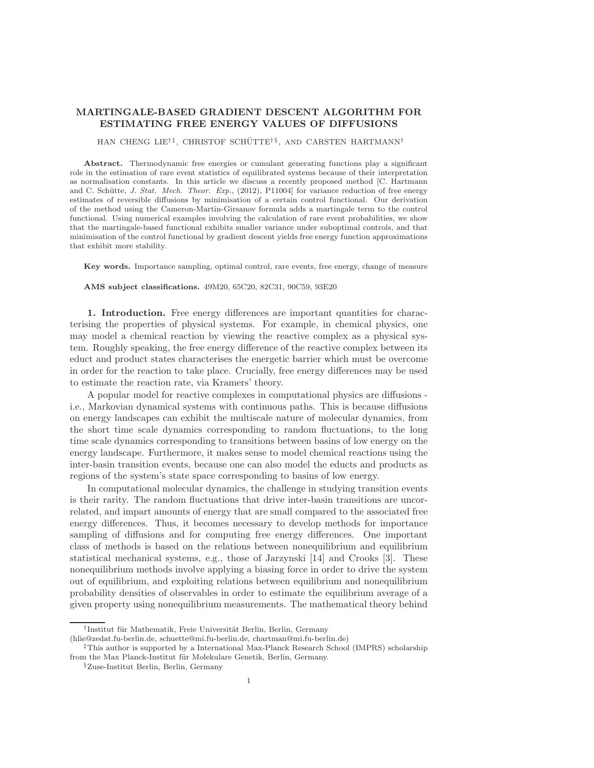## MARTINGALE-BASED GRADIENT DESCENT ALGORITHM FOR ESTIMATING FREE ENERGY VALUES OF DIFFUSIONS

## HAN CHENG LIE<sup>†‡</sup>, CHRISTOF SCHÜTTE<sup>†§</sup>, AND CARSTEN HARTMANN<sup>†</sup>

Abstract. Thermodynamic free energies or cumulant generating functions play a significant role in the estimation of rare event statistics of equilibrated systems because of their interpretation as normalisation constants. In this article we discuss a recently proposed method [C. Hartmann and C. Schütte, J. Stat. Mech. Theor. Exp., (2012), P11004 for variance reduction of free energy estimates of reversible diffusions by minimisation of a certain control functional. Our derivation of the method using the Cameron-Martin-Girsanov formula adds a martingale term to the control functional. Using numerical examples involving the calculation of rare event probabilities, we show that the martingale-based functional exhibits smaller variance under suboptimal controls, and that minimisation of the control functional by gradient descent yields free energy function approximations that exhibit more stability.

Key words. Importance sampling, optimal control, rare events, free energy, change of measure

AMS subject classifications. 49M20, 65C20, 82C31, 90C59, 93E20

1. Introduction. Free energy differences are important quantities for characterising the properties of physical systems. For example, in chemical physics, one may model a chemical reaction by viewing the reactive complex as a physical system. Roughly speaking, the free energy difference of the reactive complex between its educt and product states characterises the energetic barrier which must be overcome in order for the reaction to take place. Crucially, free energy differences may be used to estimate the reaction rate, via Kramers' theory.

A popular model for reactive complexes in computational physics are diffusions i.e., Markovian dynamical systems with continuous paths. This is because diffusions on energy landscapes can exhibit the multiscale nature of molecular dynamics, from the short time scale dynamics corresponding to random fluctuations, to the long time scale dynamics corresponding to transitions between basins of low energy on the energy landscape. Furthermore, it makes sense to model chemical reactions using the inter-basin transition events, because one can also model the educts and products as regions of the system's state space corresponding to basins of low energy.

In computational molecular dynamics, the challenge in studying transition events is their rarity. The random fluctuations that drive inter-basin transitions are uncorrelated, and impart amounts of energy that are small compared to the associated free energy differences. Thus, it becomes necessary to develop methods for importance sampling of diffusions and for computing free energy differences. One important class of methods is based on the relations between nonequilibrium and equilibrium statistical mechanical systems, e.g., those of Jarzynski [\[14\]](#page-18-0) and Crooks [\[3\]](#page-18-1). These nonequilibrium methods involve applying a biasing force in order to drive the system out of equilibrium, and exploiting relations between equilibrium and nonequilibrium probability densities of observables in order to estimate the equilibrium average of a given property using nonequilibrium measurements. The mathematical theory behind

<sup>&</sup>lt;sup>†</sup>Institut für Mathematik, Freie Universität Berlin, Berlin, Germany

[<sup>\(</sup>hlie@zedat.fu-berlin.de, schuette@mi.fu-berlin.de, chartman@mi.fu-berlin.de\)](mailto:hlie@zedat.fu-berlin.de, schuette@mi.fu-berlin.de, chartman@mi.fu-berlin.de)

<sup>‡</sup>This author is supported by a International Max-Planck Research School (IMPRS) scholarship from the Max Planck-Institut für Molekulare Genetik, Berlin, Germany.

<sup>§</sup>Zuse-Institut Berlin, Berlin, Germany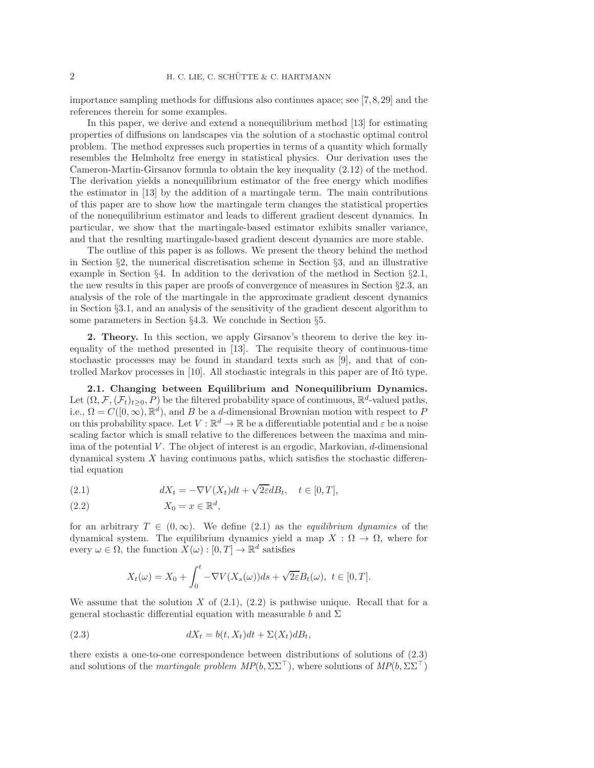importance sampling methods for diffusions also continues apace; see [\[7,](#page-18-2)[8,](#page-18-3)[29\]](#page-18-4) and the references therein for some examples.

In this paper, we derive and extend a nonequilibrium method [\[13\]](#page-18-5) for estimating properties of diffusions on landscapes via the solution of a stochastic optimal control problem. The method expresses such properties in terms of a quantity which formally resembles the Helmholtz free energy in statistical physics. Our derivation uses the Cameron-Martin-Girsanov formula to obtain the key inequality [\(2.12\)](#page-3-0) of the method. The derivation yields a nonequilibrium estimator of the free energy which modifies the estimator in [\[13\]](#page-18-5) by the addition of a martingale term. The main contributions of this paper are to show how the martingale term changes the statistical properties of the nonequilibrium estimator and leads to different gradient descent dynamics. In particular, we show that the martingale-based estimator exhibits smaller variance, and that the resulting martingale-based gradient descent dynamics are more stable.

The outline of this paper is as follows. We present the theory behind the method in Section §[2,](#page-1-0) the numerical discretisation scheme in Section §[3,](#page-8-0) and an illustrative example in Section §[4.](#page-10-0) In addition to the derivation of the method in Section §[2.1,](#page-1-1) the new results in this paper are proofs of convergence of measures in Section §[2.3,](#page-6-0) an analysis of the role of the martingale in the approximate gradient descent dynamics in Section §[3.1,](#page-9-0) and an analysis of the sensitivity of the gradient descent algorithm to some parameters in Section §[4.3.](#page-15-0) We conclude in Section §[5.](#page-16-0)

<span id="page-1-0"></span>2. Theory. In this section, we apply Girsanov's theorem to derive the key inequality of the method presented in [\[13\]](#page-18-5). The requisite theory of continuous-time stochastic processes may be found in standard texts such as [\[9\]](#page-18-6), and that of controlled Markov processes in  $[10]$ . All stochastic integrals in this paper are of Itô type.

<span id="page-1-1"></span>2.1. Changing between Equilibrium and Nonequilibrium Dynamics. Let  $(\Omega, \mathcal{F}, (\mathcal{F}_t)_{t\geq 0}, P)$  be the filtered probability space of continuous,  $\mathbb{R}^d$ -valued paths, i.e.,  $\Omega = C([0,\infty), \mathbb{R}^d)$ , and B be a d-dimensional Brownian motion with respect to P on this probability space. Let  $V : \mathbb{R}^d \to \mathbb{R}$  be a differentiable potential and  $\varepsilon$  be a noise scaling factor which is small relative to the differences between the maxima and minima of the potential  $V$ . The object of interest is an ergodic, Markovian,  $d$ -dimensional dynamical system  $X$  having continuous paths, which satisfies the stochastic differential equation

<span id="page-1-2"></span>(2.1)  $dX_t = -\nabla V(X_t)dt + \sqrt{2\varepsilon}dB_t, \quad t \in [0, T],$ 

<span id="page-1-3"></span>
$$
(2.2) \t\t X_0 = x \in \mathbb{R}^d,
$$

for an arbitrary  $T \in (0,\infty)$ . We define [\(2.1\)](#page-1-2) as the *equilibrium dynamics* of the dynamical system. The equilibrium dynamics yield a map  $X : \Omega \to \Omega$ , where for every  $\omega \in \Omega$ , the function  $X(\omega) : [0, T] \to \mathbb{R}^d$  satisfies

<span id="page-1-4"></span>
$$
X_t(\omega) = X_0 + \int_0^t -\nabla V(X_s(\omega))ds + \sqrt{2\varepsilon}B_t(\omega), \ t \in [0, T].
$$

We assume that the solution X of  $(2.1)$ ,  $(2.2)$  is pathwise unique. Recall that for a general stochastic differential equation with measurable b and  $\Sigma$ 

(2.3) 
$$
dX_t = b(t, X_t)dt + \Sigma(X_t)dB_t,
$$

there exists a one-to-one correspondence between distributions of solutions of [\(2.3\)](#page-1-4) and solutions of the martingale problem  $MP(b, \Sigma \Sigma^{\top})$ , where solutions of  $MP(b, \Sigma \Sigma^{\top})$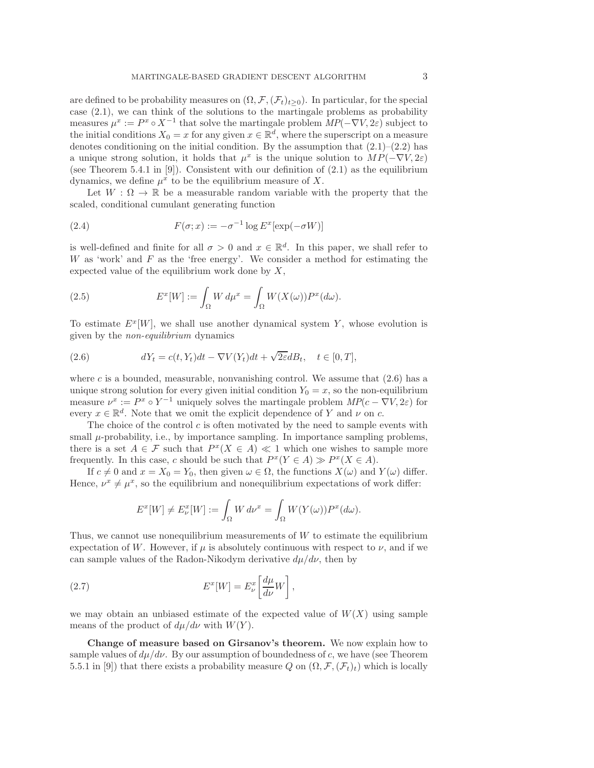are defined to be probability measures on  $(\Omega, \mathcal{F}, (\mathcal{F}_t)_{t\geq 0})$ . In particular, for the special case [\(2.1\)](#page-1-2), we can think of the solutions to the martingale problems as probability measures  $\mu^x := P^x \circ X^{-1}$  that solve the martingale problem  $MP(-\nabla V, 2\varepsilon)$  subject to the initial conditions  $X_0 = x$  for any given  $x \in \mathbb{R}^d$ , where the superscript on a measure denotes conditioning on the initial condition. By the assumption that  $(2.1)$ – $(2.2)$  has a unique strong solution, it holds that  $\mu^x$  is the unique solution to  $MP(-\nabla V, 2\varepsilon)$ (see Theorem 5.4.1 in  $[9]$ ). Consistent with our definition of  $(2.1)$  as the equilibrium dynamics, we define  $\mu^x$  to be the equilibrium measure of X.

<span id="page-2-1"></span>Let  $W : \Omega \to \mathbb{R}$  be a measurable random variable with the property that the scaled, conditional cumulant generating function

(2.4) 
$$
F(\sigma; x) := -\sigma^{-1} \log E^x[\exp(-\sigma W)]
$$

is well-defined and finite for all  $\sigma > 0$  and  $x \in \mathbb{R}^d$ . In this paper, we shall refer to  $W$  as 'work' and  $F$  as the 'free energy'. We consider a method for estimating the expected value of the equilibrium work done by  $X$ ,

<span id="page-2-3"></span>(2.5) 
$$
E^x[W] := \int_{\Omega} W d\mu^x = \int_{\Omega} W(X(\omega)) P^x(d\omega).
$$

<span id="page-2-0"></span>To estimate  $E^x[W]$ , we shall use another dynamical system Y, whose evolution is given by the non-equilibrium dynamics

(2.6) 
$$
dY_t = c(t, Y_t)dt - \nabla V(Y_t)dt + \sqrt{2\varepsilon}dB_t, \quad t \in [0, T],
$$

where c is a bounded, measurable, nonvanishing control. We assume that  $(2.6)$  has a unique strong solution for every given initial condition  $Y_0 = x$ , so the non-equilibrium measure  $\nu^x := P^x \circ Y^{-1}$  uniquely solves the martingale problem  $MP(c - \nabla V, 2\varepsilon)$  for every  $x \in \mathbb{R}^d$ . Note that we omit the explicit dependence of Y and  $\nu$  on c.

The choice of the control  $c$  is often motivated by the need to sample events with small  $\mu$ -probability, i.e., by importance sampling. In importance sampling problems, there is a set  $A \in \mathcal{F}$  such that  $P^x(X \in A) \ll 1$  which one wishes to sample more frequently. In this case, c should be such that  $P^x(Y \in A) \gg P^x(X \in A)$ .

If  $c \neq 0$  and  $x = X_0 = Y_0$ , then given  $\omega \in \Omega$ , the functions  $X(\omega)$  and  $Y(\omega)$  differ. Hence,  $\nu^x \neq \mu^x$ , so the equilibrium and nonequilibrium expectations of work differ:

<span id="page-2-2"></span>
$$
E^x[W] \neq E^x_{\nu}[W] := \int_{\Omega} W d\nu^x = \int_{\Omega} W(Y(\omega)) P^x(d\omega).
$$

Thus, we cannot use nonequilibrium measurements of  $W$  to estimate the equilibrium expectation of W. However, if  $\mu$  is absolutely continuous with respect to  $\nu$ , and if we can sample values of the Radon-Nikodym derivative  $d\mu/d\nu$ , then by

(2.7) 
$$
E^x[W] = E^x_\nu \left[ \frac{d\mu}{d\nu} W \right],
$$

we may obtain an unbiased estimate of the expected value of  $W(X)$  using sample means of the product of  $d\mu/d\nu$  with  $W(Y)$ .

Change of measure based on Girsanov's theorem. We now explain how to sample values of  $d\mu/d\nu$ . By our assumption of boundedness of c, we have (see Theorem 5.5.1 in [\[9\]](#page-18-6)) that there exists a probability measure Q on  $(\Omega, \mathcal{F}, (\mathcal{F}_t)_t)$  which is locally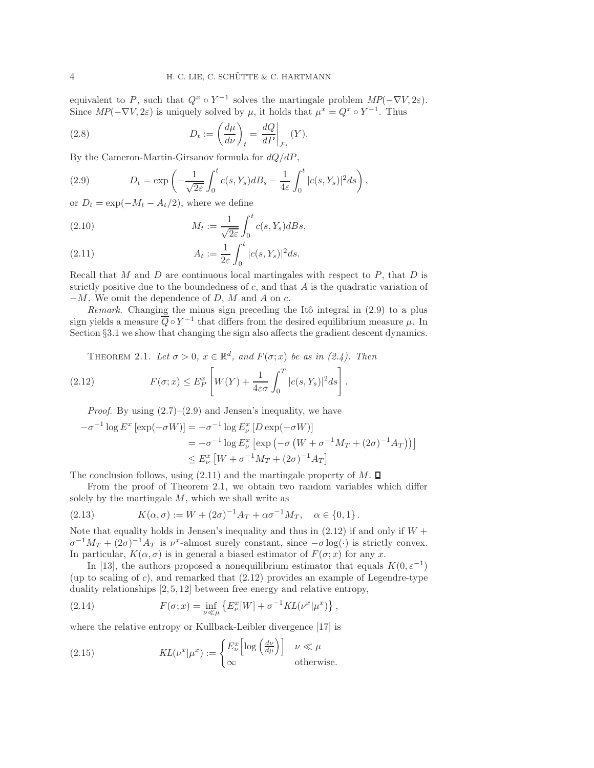<span id="page-3-5"></span>equivalent to P, such that  $Q^x \circ Y^{-1}$  solves the martingale problem  $MP(-\nabla V, 2\varepsilon)$ . Since  $MP(-\nabla V, 2\varepsilon)$  is uniquely solved by  $\mu$ , it holds that  $\mu^x = Q^x \circ Y^{-1}$ . Thus

(2.8) 
$$
D_t := \left(\frac{d\mu}{d\nu}\right)_t = \left.\frac{dQ}{dP}\right|_{\mathcal{F}_t} (Y).
$$

<span id="page-3-1"></span>By the Cameron-Martin-Girsanov formula for  $dQ/dP$ ,

(2.9) 
$$
D_t = \exp\left(-\frac{1}{\sqrt{2\varepsilon}} \int_0^t c(s, Y_s) dB_s - \frac{1}{4\varepsilon} \int_0^t |c(s, Y_s)|^2 ds\right),
$$

or  $D_t = \exp(-M_t - A_t/2)$ , where we define

(2.10) 
$$
M_t := \frac{1}{\sqrt{2\varepsilon}} \int_0^t c(s, Y_s) dBs,
$$

<span id="page-3-2"></span>(2.11) 
$$
A_t := \frac{1}{2\varepsilon} \int_0^t |c(s, Y_s)|^2 ds.
$$

Recall that M and D are continuous local martingales with respect to  $P$ , that D is strictly positive due to the boundedness of  $c$ , and that  $A$  is the quadratic variation of  $-M$ . We omit the dependence of D, M and A on c.

Remark. Changing the minus sign preceding the Itô integral in  $(2.9)$  to a plus sign yields a measure  $\overline{Q} \circ Y^{-1}$  that differs from the desired equilibrium measure  $\mu$ . In Section §[3.1](#page-9-0) we show that changing the sign also affects the gradient descent dynamics.

<span id="page-3-3"></span><span id="page-3-0"></span>THEOREM 2.1. Let  $\sigma > 0$ ,  $x \in \mathbb{R}^d$ , and  $F(\sigma; x)$  be as in [\(2.4\)](#page-2-1). Then

(2.12) 
$$
F(\sigma; x) \leq E_P^x \left[ W(Y) + \frac{1}{4\varepsilon\sigma} \int_0^T |c(s, Y_s)|^2 ds \right].
$$

*Proof.* By using  $(2.7)$ – $(2.9)$  and Jensen's inequality, we have

$$
-\sigma^{-1} \log E^x \left[ \exp(-\sigma W) \right] = -\sigma^{-1} \log E^x_\nu \left[ D \exp(-\sigma W) \right]
$$
  
= -\sigma^{-1} \log E^x\_\nu \left[ \exp \left( -\sigma \left( W + \sigma^{-1} M\_T + (2\sigma)^{-1} A\_T \right) \right) \right]   
\leq E^x\_\nu \left[ W + \sigma^{-1} M\_T + (2\sigma)^{-1} A\_T \right]

The conclusion follows, using  $(2.11)$  and the martingale property of M.  $\square$ 

From the proof of Theorem [2.1,](#page-3-3) we obtain two random variables which differ solely by the martingale  $M$ , which we shall write as

<span id="page-3-7"></span>(2.13) 
$$
K(\alpha, \sigma) := W + (2\sigma)^{-1} A_T + \alpha \sigma^{-1} M_T, \quad \alpha \in \{0, 1\}.
$$

Note that equality holds in Jensen's inequality and thus in  $(2.12)$  if and only if  $W +$  $\sigma^{-1}M_T + (2\sigma)^{-1}A_T$  is  $\nu^x$ -almost surely constant, since  $-\sigma \log(\cdot)$  is strictly convex. In particular,  $K(\alpha, \sigma)$  is in general a biased estimator of  $F(\sigma; x)$  for any x.

In [\[13\]](#page-18-5), the authors proposed a nonequilibrium estimator that equals  $K(0, \varepsilon^{-1})$ (up to scaling of c), and remarked that  $(2.12)$  provides an example of Legendre-type duality relationships [\[2,](#page-18-8) [5,](#page-18-9) [12\]](#page-18-10) between free energy and relative entropy,

<span id="page-3-4"></span>(2.14) 
$$
F(\sigma; x) = \inf_{\nu \ll \mu} \left\{ E_{\nu}^{x}[W] + \sigma^{-1} KL(\nu^{x} | \mu^{x}) \right\},
$$

where the relative entropy or Kullback-Leibler divergence [\[17\]](#page-18-11) is

<span id="page-3-6"></span>(2.15) 
$$
KL(\nu^x | \mu^x) := \begin{cases} E^x_{\nu} \left[ \log \left( \frac{d\nu}{d\mu} \right) \right] & \nu \ll \mu \\ \infty & \text{otherwise.} \end{cases}
$$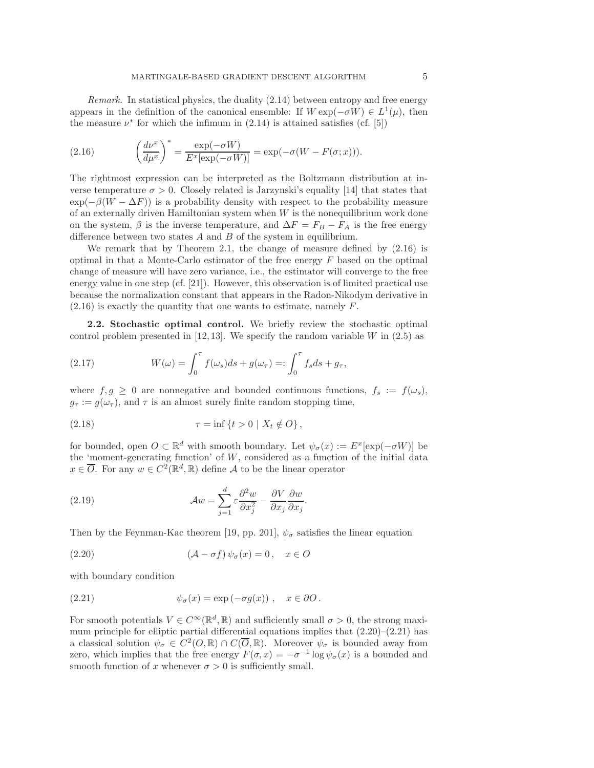<span id="page-4-0"></span>Remark. In statistical physics, the duality [\(2.14\)](#page-3-4) between entropy and free energy appears in the definition of the canonical ensemble: If  $W \exp(-\sigma W) \in L^1(\mu)$ , then the measure  $\nu^*$  for which the infimum in [\(2.14\)](#page-3-4) is attained satisfies (cf. [\[5\]](#page-18-9))

(2.16) 
$$
\left(\frac{d\nu^x}{d\mu^x}\right)^* = \frac{\exp(-\sigma W)}{E^x[\exp(-\sigma W)]} = \exp(-\sigma(W - F(\sigma; x))).
$$

The rightmost expression can be interpreted as the Boltzmann distribution at inverse temperature  $\sigma > 0$ . Closely related is Jarzynski's equality [\[14\]](#page-18-0) that states that  $\exp(-\beta(W - \Delta F))$  is a probability density with respect to the probability measure of an externally driven Hamiltonian system when  $W$  is the nonequilibrium work done on the system,  $\beta$  is the inverse temperature, and  $\Delta F = F_B - F_A$  is the free energy difference between two states  $A$  and  $B$  of the system in equilibrium.

We remark that by Theorem [2.1,](#page-3-3) the change of measure defined by [\(2.16\)](#page-4-0) is optimal in that a Monte-Carlo estimator of the free energy  $F$  based on the optimal change of measure will have zero variance, i.e., the estimator will converge to the free energy value in one step (cf. [\[21\]](#page-18-12)). However, this observation is of limited practical use because the normalization constant that appears in the Radon-Nikodym derivative in  $(2.16)$  is exactly the quantity that one wants to estimate, namely F.

<span id="page-4-4"></span>2.2. Stochastic optimal control. We briefly review the stochastic optimal control problem presented in [\[12,](#page-18-10) [13\]](#page-18-5). We specify the random variable  $W$  in [\(2.5\)](#page-2-3) as

<span id="page-4-3"></span>(2.17) 
$$
W(\omega) = \int_0^{\tau} f(\omega_s)ds + g(\omega_{\tau}) =: \int_0^{\tau} f_s ds + g_{\tau},
$$

where  $f, g \geq 0$  are nonnegative and bounded continuous functions,  $f_s := f(\omega_s)$ ,  $g_{\tau} := g(\omega_{\tau})$ , and  $\tau$  is an almost surely finite random stopping time,

<span id="page-4-5"></span>(2.18) 
$$
\tau = \inf \{ t > 0 \mid X_t \notin O \},
$$

for bounded, open  $O \subset \mathbb{R}^d$  with smooth boundary. Let  $\psi_{\sigma}(x) := E^x[\exp(-\sigma W)]$  be the 'moment-generating function' of  $W$ , considered as a function of the initial data  $x \in \overline{O}$ . For any  $w \in C^2(\mathbb{R}^d, \mathbb{R})$  define A to be the linear operator

(2.19) 
$$
\mathcal{A}w = \sum_{j=1}^{d} \varepsilon \frac{\partial^2 w}{\partial x_j^2} - \frac{\partial V}{\partial x_j} \frac{\partial w}{\partial x_j}.
$$

Then by the Feynman-Kac theorem [\[19,](#page-18-13) pp. 201],  $\psi_{\sigma}$  satisfies the linear equation

<span id="page-4-1"></span>(2.20) 
$$
(\mathcal{A} - \sigma f) \psi_{\sigma}(x) = 0, \quad x \in O
$$

<span id="page-4-2"></span>with boundary condition

(2.21) 
$$
\psi_{\sigma}(x) = \exp(-\sigma g(x)), \quad x \in \partial O.
$$

For smooth potentials  $V \in C^{\infty}(\mathbb{R}^d, \mathbb{R})$  and sufficiently small  $\sigma > 0$ , the strong maximum principle for elliptic partial differential equations implies that  $(2.20)$ – $(2.21)$  has a classical solution  $\psi_{\sigma} \in C^2(0, \mathbb{R}) \cap C(\overline{O}, \mathbb{R})$ . Moreover  $\psi_{\sigma}$  is bounded away from zero, which implies that the free energy  $F(\sigma, x) = -\sigma^{-1} \log \psi_{\sigma}(x)$  is a bounded and smooth function of x whenever  $\sigma > 0$  is sufficiently small.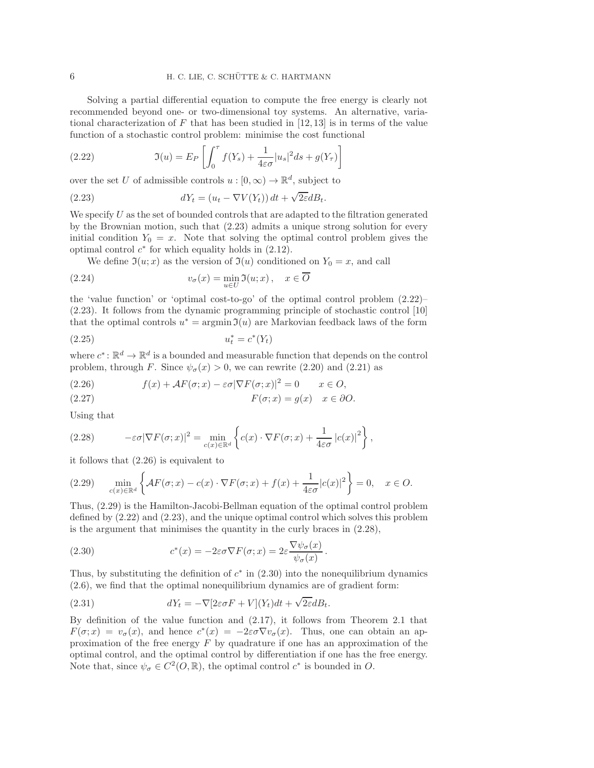Solving a partial differential equation to compute the free energy is clearly not recommended beyond one- or two-dimensional toy systems. An alternative, variational characterization of F that has been studied in  $[12, 13]$  $[12, 13]$  is in terms of the value function of a stochastic control problem: minimise the cost functional

<span id="page-5-1"></span>(2.22) 
$$
\mathfrak{I}(u) = E_P \left[ \int_0^{\tau} f(Y_s) + \frac{1}{4\varepsilon \sigma} |u_s|^2 ds + g(Y_{\tau}) \right]
$$

over the set U of admissible controls  $u : [0, \infty) \to \mathbb{R}^d$ , subject to

(2.23) 
$$
dY_t = (u_t - \nabla V(Y_t)) dt + \sqrt{2\varepsilon} dB_t.
$$

We specify  $U$  as the set of bounded controls that are adapted to the filtration generated by the Brownian motion, such that (2.[23\)](#page-5-0) admits a unique strong solution for every initial condition  $Y_0 = x$ . Note that solving the optimal control problem gives the optimal control  $c^*$  for which equality holds in  $(2.12)$ .

<span id="page-5-0"></span>We define  $\mathfrak{I}(u; x)$  as the version of  $\mathfrak{I}(u)$  conditioned on  $Y_0 = x$ , and call

(2.24) 
$$
v_{\sigma}(x) = \min_{u \in U} \Im(u; x), \quad x \in \overline{O}
$$

the 'value function' or 'optimal cost-to-go' of the optimal control problem [\(2.22\)](#page-5-1)– [\(2.23\)](#page-5-0). It follows from the dynamic programming principle of stochastic control [\[10\]](#page-18-7) that the optimal controls  $u^* = \operatorname{argmin} \mathfrak{I}(u)$  are Markovian feedback laws of the form

$$
(2.25) \qquad \qquad u_t^* = c^*(Y_t)
$$

where  $c^* \colon \mathbb{R}^d \to \mathbb{R}^d$  is a bounded and measurable function that depends on the control problem, through F. Since  $\psi_{\sigma}(x) > 0$ , we can rewrite [\(2.20\)](#page-4-1) and [\(2.21\)](#page-4-2) as

<span id="page-5-2"></span>(2.26) 
$$
f(x) + \mathcal{A}F(\sigma; x) - \varepsilon \sigma |\nabla F(\sigma; x)|^2 = 0 \qquad x \in O,
$$

$$
F(\sigma; x) = g(x) \quad x \in \partial O.
$$

<span id="page-5-4"></span>Using that

(2.28) 
$$
-\varepsilon\sigma|\nabla F(\sigma;x)|^2 = \min_{c(x)\in\mathbb{R}^d} \left\{ c(x) \cdot \nabla F(\sigma;x) + \frac{1}{4\varepsilon\sigma} |c(x)|^2 \right\},
$$

<span id="page-5-3"></span>it follows that [\(2.26\)](#page-5-2) is equivalent to

$$
(2.29) \quad \min_{c(x)\in\mathbb{R}^d} \left\{ AF(\sigma; x) - c(x) \cdot \nabla F(\sigma; x) + f(x) + \frac{1}{4\varepsilon\sigma} |c(x)|^2 \right\} = 0, \quad x \in O.
$$

Thus, [\(2.29\)](#page-5-3) is the Hamilton-Jacobi-Bellman equation of the optimal control problem defined by [\(2.22\)](#page-5-1) and [\(2.23\)](#page-5-0), and the unique optimal control which solves this problem is the argument that minimises the quantity in the curly braces in  $(2.28)$ ,

<span id="page-5-5"></span>(2.30) 
$$
c^*(x) = -2\varepsilon\sigma \nabla F(\sigma; x) = 2\varepsilon \frac{\nabla \psi_\sigma(x)}{\psi_\sigma(x)}.
$$

Thus, by substituting the definition of  $c^*$  in  $(2.30)$  into the nonequilibrium dynamics [\(2.6\)](#page-2-0), we find that the optimal nonequilibrium dynamics are of gradient form:

(2.31) 
$$
dY_t = -\nabla[2\varepsilon\sigma F + V](Y_t)dt + \sqrt{2\varepsilon}dB_t.
$$

By definition of the value function and [\(2.17\)](#page-4-3), it follows from Theorem [2.1](#page-3-3) that  $F(\sigma; x) = v_{\sigma}(x)$ , and hence  $c^*(x) = -2\varepsilon \sigma \nabla v_{\sigma}(x)$ . Thus, one can obtain an approximation of the free energy  $F$  by quadrature if one has an approximation of the optimal control, and the optimal control by differentiation if one has the free energy. Note that, since  $\psi_{\sigma} \in C^2(0, \mathbb{R})$ , the optimal control  $c^*$  is bounded in O.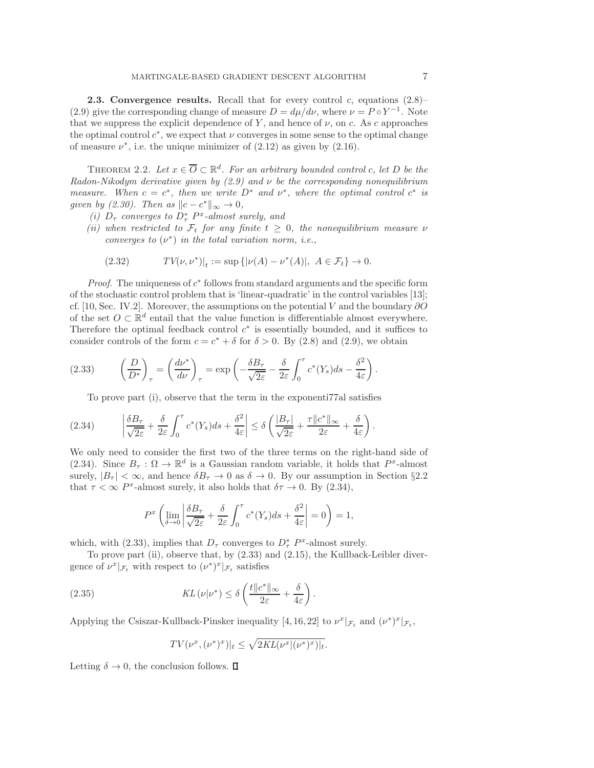<span id="page-6-0"></span>**2.3. Convergence results.** Recall that for every control c, equations  $(2.8)$ – [\(2.9\)](#page-3-1) give the corresponding change of measure  $D = d\mu/d\nu$ , where  $\nu = P \circ Y^{-1}$ . Note that we suppress the explicit dependence of Y, and hence of  $\nu$ , on c. As c approaches the optimal control  $c^*$ , we expect that  $\nu$  converges in some sense to the optimal change of measure  $\nu^*$ , i.e. the unique minimizer of  $(2.12)$  as given by  $(2.16)$ .

THEOREM 2.2. Let  $x \in \overline{O} \subset \mathbb{R}^d$ . For an arbitrary bounded control c, let D be the Radon-Nikodym derivative given by  $(2.9)$  and  $\nu$  be the corresponding nonequilibrium measure. When  $c = c^*$ , then we write  $D^*$  and  $\nu^*$ , where the optimal control  $c^*$  is given by [\(2.30\)](#page-5-5). Then as  $||c - c^*||_{\infty} \to 0$ ,

- (i)  $D_{\tau}$  converges to  $D_{\tau}^{*}$   $P^{x}$ -almost surely, and
- (ii) when restricted to  $\mathcal{F}_t$  for any finite  $t \geq 0$ , the nonequilibrium measure  $\nu$ converges to  $(\nu^*)$  in the total variation norm, i.e.,

<span id="page-6-3"></span><span id="page-6-2"></span>(2.32) 
$$
TV(\nu, \nu^*)|_t := \sup \{ |\nu(A) - \nu^*(A)|, A \in \mathcal{F}_t \} \to 0.
$$

*Proof.* The uniqueness of  $c^*$  follows from standard arguments and the specific form of the stochastic control problem that is 'linear-quadratic' in the control variables [\[13\]](#page-18-5); cf. [\[10,](#page-18-7) Sec. IV.2]. Moreover, the assumptions on the potential V and the boundary  $\partial O$ of the set  $O \subset \mathbb{R}^d$  entail that the value function is differentiable almost everywhere. Therefore the optimal feedback control  $c^*$  is essentially bounded, and it suffices to consider controls of the form  $c = c^* + \delta$  for  $\delta > 0$ . By [\(2.8\)](#page-3-5) and [\(2.9\)](#page-3-1), we obtain

(2.33) 
$$
\left(\frac{D}{D^*}\right)_\tau = \left(\frac{d\nu^*}{d\nu}\right)_\tau = \exp\left(-\frac{\delta B_\tau}{\sqrt{2\varepsilon}} - \frac{\delta}{2\varepsilon} \int_0^\tau c^*(Y_s)ds - \frac{\delta^2}{4\varepsilon}\right).
$$

To prove part (i), observe that the term in the exponenti77al satisfies

$$
(2.34) \qquad \left|\frac{\delta B_{\tau}}{\sqrt{2\varepsilon}}+\frac{\delta}{2\varepsilon}\int_0^{\tau}c^*(Y_s)ds+\frac{\delta^2}{4\varepsilon}\right|\leq \delta\left(\frac{|B_{\tau}|}{\sqrt{2\varepsilon}}+\frac{\tau\|c^*\|_{\infty}}{2\varepsilon}+\frac{\delta}{4\varepsilon}\right).
$$

We only need to consider the first two of the three terms on the right-hand side of [\(2.34\)](#page-6-1). Since  $B_{\tau} : \Omega \to \mathbb{R}^d$  is a Gaussian random variable, it holds that  $P^x$ -almost surely,  $|B_{\tau}| < \infty$ , and hence  $\delta B_{\tau} \to 0$  as  $\delta \to 0$ . By our assumption in Section §[2.2](#page-4-4) that  $\tau < \infty$  P<sup>x</sup>-almost surely, it also holds that  $\delta \tau \to 0$ . By [\(2.34\)](#page-6-1),

<span id="page-6-1"></span>
$$
P^{x}\left(\lim_{\delta \to 0} \left| \frac{\delta B_{\tau}}{\sqrt{2\varepsilon}} + \frac{\delta}{2\varepsilon} \int_{0}^{\tau} c^{*}(Y_{s}) ds + \frac{\delta^{2}}{4\varepsilon} \right| = 0 \right) = 1,
$$

which, with [\(2.33\)](#page-6-2), implies that  $D_{\tau}$  converges to  $D_{\tau}^{*}$   $P^{x}$ -almost surely.

To prove part (ii), observe that, by [\(2.33\)](#page-6-2) and [\(2.15\)](#page-3-6), the Kullback-Leibler divergence of  $\nu^x|_{\mathcal{F}_t}$  with respect to  $(\nu^*)^x|_{\mathcal{F}_t}$  satisfies

(2.35) 
$$
KL(\nu|\nu^*) \leq \delta \left( \frac{t ||c^*||_{\infty}}{2\varepsilon} + \frac{\delta}{4\varepsilon} \right).
$$

Applying the Csiszar-Kullback-Pinsker inequality [\[4,](#page-18-14) [16,](#page-18-15) [22\]](#page-18-16) to  $\nu^x|_{\mathcal{F}_t}$  and  $(\nu^*)^x|_{\mathcal{F}_t}$ ,

<span id="page-6-4"></span>
$$
TV(\nu^x, (\nu^*)^x)|_t \leq \sqrt{2KL(\nu^x|(\nu^*)^x)|_t}.
$$

Letting  $\delta \to 0$ , the conclusion follows.  $\Box$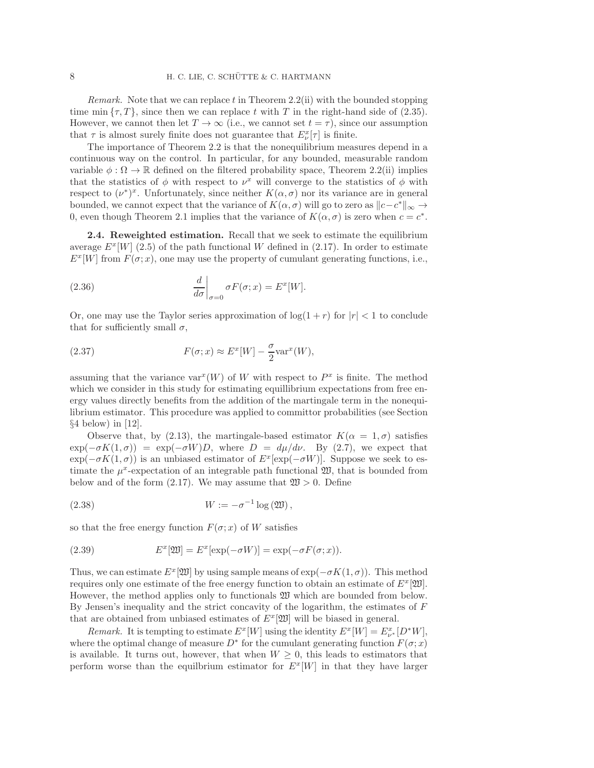*Remark.* Note that we can replace t in Theorem [2.2\(](#page-6-3)ii) with the bounded stopping time min  $\{\tau, T\}$ , since then we can replace t with T in the right-hand side of [\(2.35\)](#page-6-4). However, we cannot then let  $T \to \infty$  (i.e., we cannot set  $t = \tau$ ), since our assumption that  $\tau$  is almost surely finite does not guarantee that  $E^x_{\nu}[\tau]$  is finite.

The importance of Theorem [2.2](#page-6-3) is that the nonequilibrium measures depend in a continuous way on the control. In particular, for any bounded, measurable random variable  $\phi : \Omega \to \mathbb{R}$  defined on the filtered probability space, Theorem [2.2\(](#page-6-3)ii) implies that the statistics of  $\phi$  with respect to  $\nu^x$  will converge to the statistics of  $\phi$  with respect to  $(\nu^*)^x$ . Unfortunately, since neither  $K(\alpha, \sigma)$  nor its variance are in general bounded, we cannot expect that the variance of  $K(\alpha, \sigma)$  will go to zero as  $||c - c^*||_{\infty} \to$ 0, even though Theorem [2.1](#page-3-3) implies that the variance of  $K(\alpha, \sigma)$  is zero when  $c = c^*$ .

<span id="page-7-0"></span>2.4. Reweighted estimation. Recall that we seek to estimate the equilibrium average  $E^x[W]$  [\(2.5\)](#page-2-3) of the path functional W defined in [\(2.17\)](#page-4-3). In order to estimate  $E^x[W]$  from  $F(\sigma; x)$ , one may use the property of cumulant generating functions, i.e.,

(2.36) 
$$
\left. \frac{d}{d\sigma} \right|_{\sigma=0} \sigma F(\sigma; x) = E^x[W].
$$

Or, one may use the Taylor series approximation of  $\log(1 + r)$  for  $|r| < 1$  to conclude that for sufficiently small  $\sigma$ ,

(2.37) 
$$
F(\sigma; x) \approx E^x[W] - \frac{\sigma}{2} \text{var}^x(W),
$$

assuming that the variance  $var^x(W)$  of W with respect to  $P^x$  is finite. The method which we consider in this study for estimating equilibrium expectations from free energy values directly benefits from the addition of the martingale term in the nonequilibrium estimator. This procedure was applied to committor probabilities (see Section  $§4$  $§4$  below) in [\[12\]](#page-18-10).

Observe that, by [\(2.13\)](#page-3-7), the martingale-based estimator  $K(\alpha = 1, \sigma)$  satisfies  $\exp(-\sigma K(1,\sigma)) = \exp(-\sigma W)D$ , where  $D = d\mu/d\nu$ . By [\(2.7\)](#page-2-2), we expect that  $\exp(-\sigma K(1,\sigma))$  is an unbiased estimator of  $E^x[\exp(-\sigma W)]$ . Suppose we seek to estimate the  $\mu^x$ -expectation of an integrable path functional  $\mathfrak{W}$ , that is bounded from below and of the form  $(2.17)$ . We may assume that  $\mathfrak{W} > 0$ . Define

<span id="page-7-1"></span>(2.38) 
$$
W := -\sigma^{-1} \log \left( \mathfrak{W} \right),
$$

so that the free energy function  $F(\sigma; x)$  of W satisfies

<span id="page-7-2"></span>(2.39) 
$$
E^x[\mathfrak{W}] = E^x[\exp(-\sigma W)] = \exp(-\sigma F(\sigma; x)).
$$

Thus, we can estimate  $E^x[\mathfrak{W}]$  by using sample means of  $\exp(-\sigma K(1,\sigma))$ . This method requires only one estimate of the free energy function to obtain an estimate of  $E^x[\mathfrak{W}]$ . However, the method applies only to functionals W which are bounded from below. By Jensen's inequality and the strict concavity of the logarithm, the estimates of F that are obtained from unbiased estimates of  $E^x[\mathfrak{W}]$  will be biased in general.

Remark. It is tempting to estimate  $E^x[W]$  using the identity  $E^x[W] = E^x_{\nu^*}[D^*W]$ , where the optimal change of measure  $D^*$  for the cumulant generating function  $F(\sigma; x)$ is available. It turns out, however, that when  $W \geq 0$ , this leads to estimators that perform worse than the equilbrium estimator for  $E^x[W]$  in that they have larger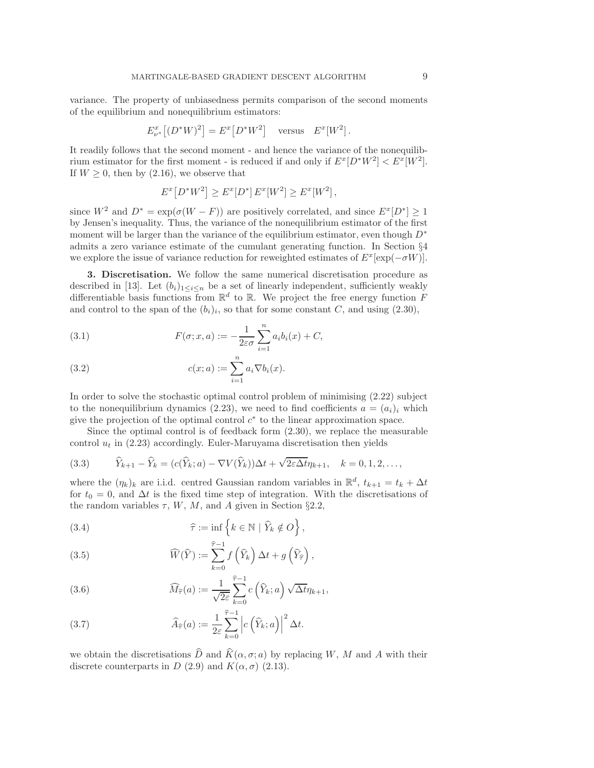variance. The property of unbiasedness permits comparison of the second moments of the equilibrium and nonequilibrium estimators:

$$
E_{\nu^*}^x \left[ (D^*W)^2 \right] = E^x \left[ D^*W^2 \right] \quad \text{versus} \quad E^x[W^2].
$$

It readily follows that the second moment - and hence the variance of the nonequilibrium estimator for the first moment - is reduced if and only if  $E^x[D^*W^2] < E^x[W^2]$ . If  $W \geq 0$ , then by [\(2.16\)](#page-4-0), we observe that

$$
E^x[D^*W^2] \ge E^x[D^*] E^x[W^2] \ge E^x[W^2],
$$

since  $W^2$  and  $D^* = \exp(\sigma(W - F))$  are positively correlated, and since  $E^x[D^*] \ge 1$ by Jensen's inequality. Thus, the variance of the nonequilibrium estimator of the first moment will be larger than the variance of the equilibrium estimator, even though  $D^*$ admits a zero variance estimate of the cumulant generating function. In Section §[4](#page-10-0) we explore the issue of variance reduction for reweighted estimates of  $E^x[\exp(-\sigma W)]$ .

<span id="page-8-0"></span>3. Discretisation. We follow the same numerical discretisation procedure as described in [\[13\]](#page-18-5). Let  $(b_i)_{1 \leq i \leq n}$  be a set of linearly independent, sufficiently weakly differentiable basis functions from  $\mathbb{R}^d$  to  $\mathbb{R}$ . We project the free energy function F and control to the span of the  $(b_i)_i$ , so that for some constant C, and using  $(2.30)$ ,

<span id="page-8-3"></span>(3.1) 
$$
F(\sigma; x, a) := -\frac{1}{2\varepsilon\sigma} \sum_{i=1}^{n} a_i b_i(x) + C,
$$

<span id="page-8-2"></span>(3.2) 
$$
c(x; a) := \sum_{i=1}^{n} a_i \nabla b_i(x).
$$

In order to solve the stochastic optimal control problem of minimising [\(2.22\)](#page-5-1) subject to the nonequilibrium dynamics [\(2.23\)](#page-5-0), we need to find coefficients  $a = (a_i)_i$  which give the projection of the optimal control  $c^*$  to the linear approximation space.

Since the optimal control is of feedback form [\(2.30\)](#page-5-5), we replace the measurable control  $u_t$  in [\(2.23\)](#page-5-0) accordingly. Euler-Maruyama discretisation then yields

<span id="page-8-1"></span>(3.3) 
$$
\widehat{Y}_{k+1} - \widehat{Y}_k = (c(\widehat{Y}_k; a) - \nabla V(\widehat{Y}_k))\Delta t + \sqrt{2\varepsilon \Delta t} \eta_{k+1}, \quad k = 0, 1, 2, \dots,
$$

where the  $(\eta_k)_k$  are i.i.d. centred Gaussian random variables in  $\mathbb{R}^d$ ,  $t_{k+1} = t_k + \Delta t$ for  $t_0 = 0$ , and  $\Delta t$  is the fixed time step of integration. With the discretisations of the random variables  $\tau$ , W, M, and A given in Section §[2.2,](#page-4-4)

(3.4) 
$$
\widehat{\tau} := \inf \left\{ k \in \mathbb{N} \mid \widehat{Y}_k \notin O \right\},\
$$

(3.5) 
$$
\widehat{W}(\widehat{Y}) := \sum_{k=0}^{\widehat{\tau}-1} f\left(\widehat{Y}_k\right) \Delta t + g\left(\widehat{Y}_{\widehat{\tau}}\right),
$$

(3.6) 
$$
\widehat{M}_{\widehat{\tau}}(a) := \frac{1}{\sqrt{2\varepsilon}} \sum_{k=0}^{\widehat{\tau}-1} c\left(\widehat{Y}_k; a\right) \sqrt{\Delta t} \eta_{k+1},
$$

(3.7) 
$$
\widehat{A}_{\widehat{\tau}}(a) := \frac{1}{2\varepsilon} \sum_{k=0}^{\widehat{\tau}-1} \left| c\left(\widehat{Y}_k; a\right) \right|^2 \Delta t.
$$

we obtain the discretisations  $\widehat{D}$  and  $\widehat{K}(\alpha, \sigma; a)$  by replacing W, M and A with their discrete counterparts in D [\(2.9\)](#page-3-1) and  $K(\alpha, \sigma)$  [\(2.13\)](#page-3-7).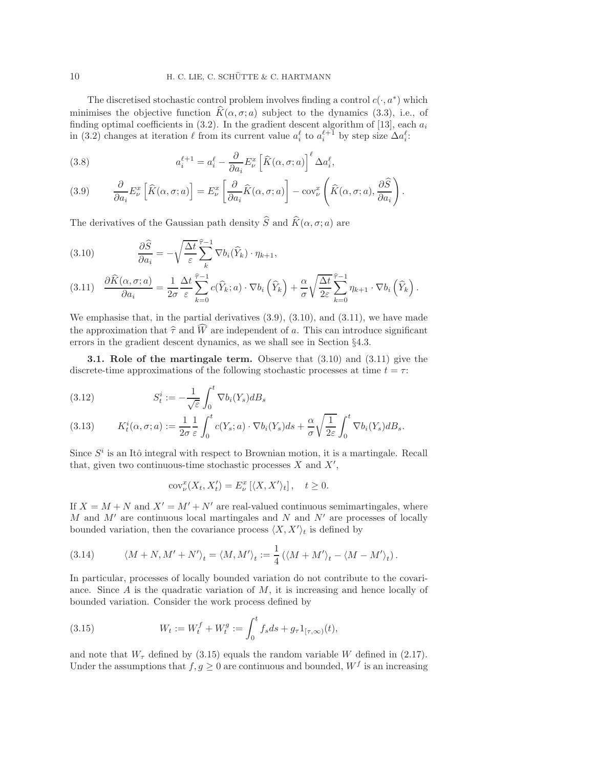The discretised stochastic control problem involves finding a control  $c(\cdot, a^*)$  which minimises the objective function  $\widehat{K}(\alpha, \sigma; a)$  subject to the dynamics [\(3.3\)](#page-8-1), i.e., of finding optimal coefficients in  $(3.2)$ . In the gradient descent algorithm of [\[13\]](#page-18-5), each  $a_i$ in [\(3.2\)](#page-8-2) changes at iteration  $\ell$  from its current value  $a_i^{\ell}$  to  $a_i^{\ell+1}$  by step size  $\Delta a_i^{\ell}$ :

(3.8) 
$$
a_i^{\ell+1} = a_i^{\ell} - \frac{\partial}{\partial a_i} E_{\nu}^x \left[ \widehat{K}(\alpha, \sigma; a) \right]^{\ell} \Delta a_i^{\ell},
$$

<span id="page-9-1"></span>(3.9) 
$$
\frac{\partial}{\partial a_i} E^x_\nu \left[ \widehat{K}(\alpha, \sigma; a) \right] = E^x_\nu \left[ \frac{\partial}{\partial a_i} \widehat{K}(\alpha, \sigma; a) \right] - \text{cov}^x_\nu \left( \widehat{K}(\alpha, \sigma; a), \frac{\partial \widehat{S}}{\partial a_i} \right).
$$

The derivatives of the Gaussian path density  $\widehat{S}$  and  $\widehat{K}(\alpha, \sigma; a)$  are

<span id="page-9-2"></span>(3.10) 
$$
\frac{\partial \widehat{S}}{\partial a_i} = -\sqrt{\frac{\Delta t}{\varepsilon}} \sum_{k}^{\widehat{\tau}-1} \nabla b_i(\widehat{Y}_k) \cdot \eta_{k+1},
$$

<span id="page-9-3"></span>
$$
(3.11) \quad \frac{\partial \widehat{K}(\alpha,\sigma;a)}{\partial a_i} = \frac{1}{2\sigma} \frac{\Delta t}{\varepsilon} \sum_{k=0}^{\widehat{\tau}-1} c(\widehat{Y}_k; a) \cdot \nabla b_i\left(\widehat{Y}_k\right) + \frac{\alpha}{\sigma} \sqrt{\frac{\Delta t}{2\varepsilon}} \sum_{k=0}^{\widehat{\tau}-1} \eta_{k+1} \cdot \nabla b_i\left(\widehat{Y}_k\right).
$$

We emphasise that, in the partial derivatives  $(3.9)$ ,  $(3.10)$ , and  $(3.11)$ , we have made the approximation that  $\hat{\tau}$  and  $\hat{W}$  are independent of a. This can introduce significant errors in the gradient descent dynamics, as we shall see in Section §[4.3.](#page-15-0)

<span id="page-9-0"></span>3.1. Role of the martingale term. Observe that [\(3.10\)](#page-9-2) and [\(3.11\)](#page-9-3) give the discrete-time approximations of the following stochastic processes at time  $t = \tau$ :

(3.12) 
$$
S_t^i := -\frac{1}{\sqrt{\varepsilon}} \int_0^t \nabla b_i(Y_s) dB_s
$$

<span id="page-9-5"></span>(3.13) 
$$
K_t^i(\alpha, \sigma; a) := \frac{1}{2\sigma} \frac{1}{\varepsilon} \int_0^t c(Y_s; a) \cdot \nabla b_i(Y_s) ds + \frac{\alpha}{\sigma} \sqrt{\frac{1}{2\varepsilon}} \int_0^t \nabla b_i(Y_s) dB_s.
$$

Since  $S<sup>i</sup>$  is an Itô integral with respect to Brownian motion, it is a martingale. Recall that, given two continuous-time stochastic processes  $X$  and  $X'$ ,

<span id="page-9-4"></span>
$$
cov_{\nu}^{x}(X_{t}, X_{t}') = E_{\nu}^{x} [\langle X, X' \rangle_{t}], \quad t \ge 0.
$$

If  $X = M + N$  and  $X' = M' + N'$  are real-valued continuous semimartingales, where M and  $M'$  are continuous local martingales and N and N' are processes of locally bounded variation, then the covariance process  $\langle X, X' \rangle_t$  is defined by

(3.14) 
$$
\langle M+N, M'+N' \rangle_t = \langle M, M' \rangle_t := \frac{1}{4} (\langle M+M' \rangle_t - \langle M-M' \rangle_t).
$$

In particular, processes of locally bounded variation do not contribute to the covariance. Since  $A$  is the quadratic variation of  $M$ , it is increasing and hence locally of bounded variation. Consider the work process defined by

(3.15) 
$$
W_t := W_t^f + W_t^g := \int_0^t f_s ds + g_\tau 1_{[\tau, \infty)}(t),
$$

and note that  $W_{\tau}$  defined by [\(3.15\)](#page-9-4) equals the random variable W defined in [\(2.17\)](#page-4-3). Under the assumptions that  $f, g \geq 0$  are continuous and bounded,  $W^f$  is an increasing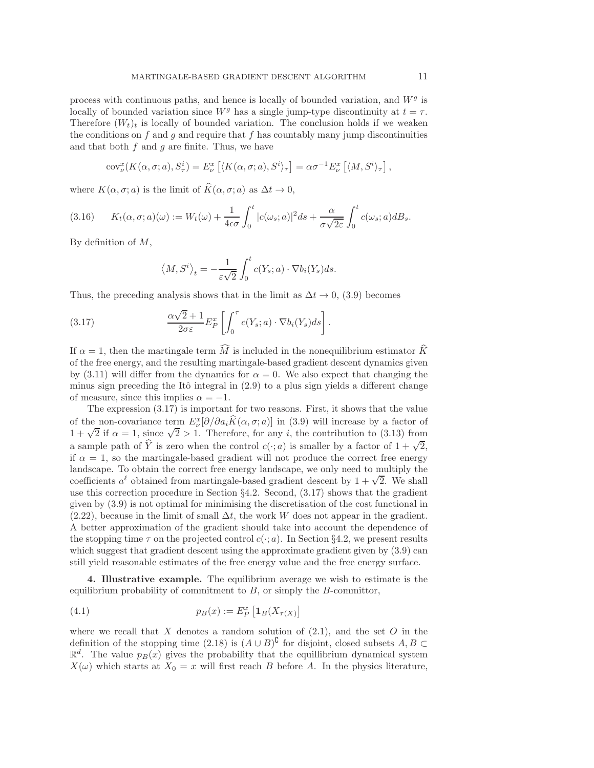process with continuous paths, and hence is locally of bounded variation, and  $W<sup>g</sup>$  is locally of bounded variation since  $W<sup>g</sup>$  has a single jump-type discontinuity at  $t = \tau$ . Therefore  $(W_t)_t$  is locally of bounded variation. The conclusion holds if we weaken the conditions on  $f$  and  $g$  and require that  $f$  has countably many jump discontinuities and that both  $f$  and  $g$  are finite. Thus, we have

$$
cov_{\nu}^{x}(K(\alpha, \sigma; a), S_{\tau}^{i}) = E_{\nu}^{x}\left[\langle K(\alpha, \sigma; a), S^{i}\rangle_{\tau}\right] = \alpha \sigma^{-1} E_{\nu}^{x}\left[\langle M, S^{i}\rangle_{\tau}\right],
$$

where  $K(\alpha, \sigma; a)$  is the limit of  $\widehat{K}(\alpha, \sigma; a)$  as  $\Delta t \to 0$ ,

$$
(3.16) \qquad K_t(\alpha, \sigma; a)(\omega) := W_t(\omega) + \frac{1}{4\epsilon\sigma} \int_0^t |c(\omega_s; a)|^2 ds + \frac{\alpha}{\sigma\sqrt{2\varepsilon}} \int_0^t c(\omega_s; a) dB_s.
$$

By definition of M,

<span id="page-10-1"></span>
$$
\langle M, S^i \rangle_t = -\frac{1}{\varepsilon \sqrt{2}} \int_0^t c(Y_s; a) \cdot \nabla b_i(Y_s) ds.
$$

Thus, the preceding analysis shows that in the limit as  $\Delta t \to 0$ , [\(3.9\)](#page-9-1) becomes

(3.17) 
$$
\frac{\alpha\sqrt{2}+1}{2\sigma\varepsilon}E_P^x\left[\int_0^\tau c(Y_s;a)\cdot\nabla b_i(Y_s)ds\right].
$$

If  $\alpha = 1$ , then the martingale term M is included in the nonequilibrium estimator K of the free energy, and the resulting martingale-based gradient descent dynamics given by [\(3.11\)](#page-9-3) will differ from the dynamics for  $\alpha = 0$ . We also expect that changing the minus sign preceding the Itô integral in  $(2.9)$  to a plus sign yields a different change of measure, since this implies  $\alpha = -1$ .

The expression [\(3.17\)](#page-10-1) is important for two reasons. First, it shows that the value of the non-covariance term  $E^x_\nu[\partial/\partial a_i \hat{K}(\alpha, \sigma; a)]$  in [\(3.9\)](#page-9-1) will increase by a factor of 1 +  $\sqrt{2}$  if  $\alpha = 1$ , since  $\sqrt{2} > 1$ . Therefore, for any *i*, the contribution to [\(3.13\)](#page-9-5) from a sample path of  $\hat{Y}$  is zero when the control  $c(\cdot; a)$  is smaller by a factor of  $1 + \sqrt{2}$ , if  $\alpha = 1$ , so the martingale-based gradient will not produce the correct free energy landscape. To obtain the correct free energy landscape, we only need to multiply the coefficients  $a^{\ell}$  obtained from martingale-based gradient descent by  $1 + \sqrt{2}$ . We shall use this correction procedure in Section §[4.2.](#page-12-0) Second, [\(3.17\)](#page-10-1) shows that the gradient given by [\(3.9\)](#page-9-1) is not optimal for minimising the discretisation of the cost functional in [\(2.22\)](#page-5-1), because in the limit of small  $\Delta t$ , the work W does not appear in the gradient. A better approximation of the gradient should take into account the dependence of the stopping time  $\tau$  on the projected control  $c(\cdot; a)$ . In Section §[4.2,](#page-12-0) we present results which suggest that gradient descent using the approximate gradient given by  $(3.9)$  can still yield reasonable estimates of the free energy value and the free energy surface.

<span id="page-10-0"></span>4. Illustrative example. The equilibrium average we wish to estimate is the equilibrium probability of commitment to  $B$ , or simply the  $B$ -committor,

(4.1) 
$$
p_B(x) := E_P^x \left[ \mathbf{1}_B(X_{\tau(X)}) \right]
$$

where we recall that  $X$  denotes a random solution of  $(2.1)$ , and the set  $O$  in the definition of the stopping time  $(2.18)$  is  $(A \cup B)^{c}$  for disjoint, closed subsets  $A, B \subset$  $\mathbb{R}^d$ . The value  $p_B(x)$  gives the probability that the equillibrium dynamical system  $X(\omega)$  which starts at  $X_0 = x$  will first reach B before A. In the physics literature,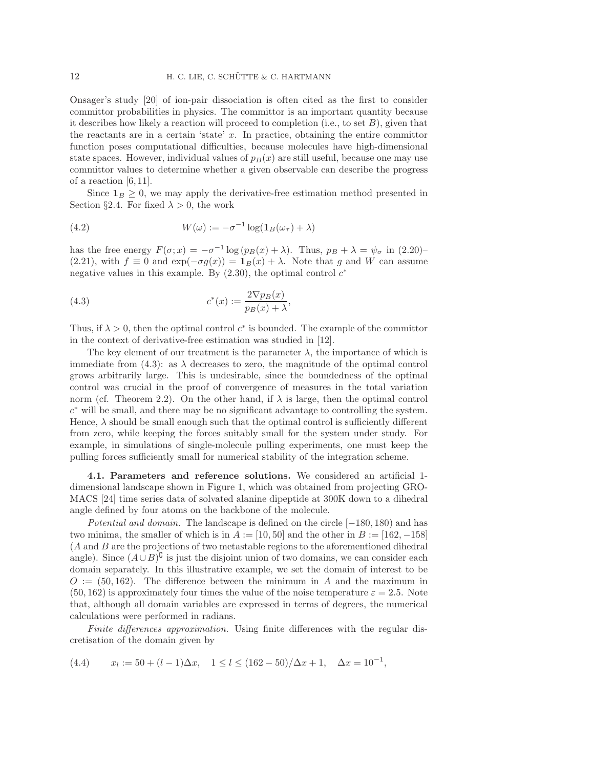Onsager's study [\[20\]](#page-18-17) of ion-pair dissociation is often cited as the first to consider committor probabilities in physics. The committor is an important quantity because it describes how likely a reaction will proceed to completion (i.e., to set  $B$ ), given that the reactants are in a certain 'state'  $x$ . In practice, obtaining the entire committor function poses computational difficulties, because molecules have high-dimensional state spaces. However, individual values of  $p_B(x)$  are still useful, because one may use committor values to determine whether a given observable can describe the progress of a reaction  $[6, 11]$  $[6, 11]$ .

<span id="page-11-2"></span>Since  $1_B \geq 0$ , we may apply the derivative-free estimation method presented in Section §[2.4.](#page-7-0) For fixed  $\lambda > 0$ , the work

(4.2) 
$$
W(\omega) := -\sigma^{-1} \log(\mathbf{1}_B(\omega_\tau) + \lambda)
$$

has the free energy  $F(\sigma; x) = -\sigma^{-1} \log (p_B(x) + \lambda)$ . Thus,  $p_B + \lambda = \psi_{\sigma}$  in [\(2.20\)](#page-4-1)– [\(2.21\)](#page-4-2), with  $f \equiv 0$  and  $\exp(-\sigma g(x)) = \mathbf{1}_B(x) + \lambda$ . Note that g and W can assume negative values in this example. By  $(2.30)$ , the optimal control  $c^*$ 

<span id="page-11-0"></span>(4.3) 
$$
c^*(x) := \frac{2 \nabla p_B(x)}{p_B(x) + \lambda},
$$

Thus, if  $\lambda > 0$ , then the optimal control  $c^*$  is bounded. The example of the committor in the context of derivative-free estimation was studied in [\[12\]](#page-18-10).

The key element of our treatment is the parameter  $\lambda$ , the importance of which is immediate from  $(4.3)$ : as  $\lambda$  decreases to zero, the magnitude of the optimal control grows arbitrarily large. This is undesirable, since the boundedness of the optimal control was crucial in the proof of convergence of measures in the total variation norm (cf. Theorem [2.2\)](#page-6-3). On the other hand, if  $\lambda$  is large, then the optimal control c <sup>∗</sup> will be small, and there may be no significant advantage to controlling the system. Hence,  $\lambda$  should be small enough such that the optimal control is sufficiently different from zero, while keeping the forces suitably small for the system under study. For example, in simulations of single-molecule pulling experiments, one must keep the pulling forces sufficiently small for numerical stability of the integration scheme.

4.1. Parameters and reference solutions. We considered an artificial 1 dimensional landscape shown in Figure [1,](#page-12-1) which was obtained from projecting GRO-MACS [\[24\]](#page-18-20) time series data of solvated alanine dipeptide at 300K down to a dihedral angle defined by four atoms on the backbone of the molecule.

Potential and domain. The landscape is defined on the circle [−180, 180) and has two minima, the smaller of which is in  $A := [10, 50]$  and the other in  $B := [162, -158]$ (A and B are the projections of two metastable regions to the aforementioned dihedral angle). Since  $(A \cup B)^{\complement}$  is just the disjoint union of two domains, we can consider each domain separately. In this illustrative example, we set the domain of interest to be  $O := (50, 162)$ . The difference between the minimum in A and the maximum in  $(50, 162)$  is approximately four times the value of the noise temperature  $\varepsilon = 2.5$ . Note that, although all domain variables are expressed in terms of degrees, the numerical calculations were performed in radians.

Finite differences approximation. Using finite differences with the regular discretisation of the domain given by

<span id="page-11-1"></span>(4.4) 
$$
x_l := 50 + (l-1)\Delta x, \quad 1 \le l \le (162-50)/\Delta x + 1, \quad \Delta x = 10^{-1},
$$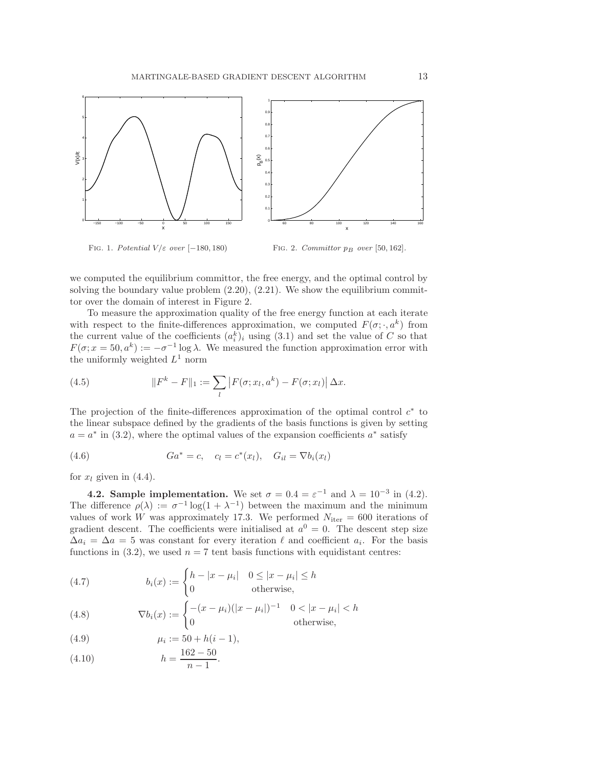

<span id="page-12-1"></span>FIG. 1. Potential  $V/\varepsilon$  over [−180, 180)

<span id="page-12-2"></span>FIG. 2. Committor  $p_B$  over [50, 162].

we computed the equilibrium committor, the free energy, and the optimal control by solving the boundary value problem  $(2.20)$ ,  $(2.21)$ . We show the equilibrium committor over the domain of interest in Figure [2.](#page-12-2)

To measure the approximation quality of the free energy function at each iterate with respect to the finite-differences approximation, we computed  $F(\sigma; \cdot, a^k)$  from the current value of the coefficients  $(a_i^k)_i$  using  $(3.1)$  and set the value of C so that  $F(\sigma; x = 50, a^k) := -\sigma^{-1} \log \lambda$ . We measured the function approximation error with the uniformly weighted  $L^1$  norm

<span id="page-12-3"></span>(4.5) 
$$
||F^{k} - F||_{1} := \sum_{l} |F(\sigma; x_{l}, a^{k}) - F(\sigma; x_{l})| \Delta x.
$$

The projection of the finite-differences approximation of the optimal control  $c^*$  to the linear subspace defined by the gradients of the basis functions is given by setting  $a = a^*$  in [\(3.2\)](#page-8-2), where the optimal values of the expansion coefficients  $a^*$  satisfy

(4.6) 
$$
Ga^* = c, \quad c_l = c^*(x_l), \quad G_{il} = \nabla b_i(x_l)
$$

<span id="page-12-0"></span>for  $x_l$  given in [\(4.4\)](#page-11-1).

**4.2. Sample implementation.** We set  $\sigma = 0.4 = \varepsilon^{-1}$  and  $\lambda = 10^{-3}$  in [\(4.2\)](#page-11-2). The difference  $\rho(\lambda) := \sigma^{-1} \log(1 + \lambda^{-1})$  between the maximum and the minimum values of work W was approximately 17.3. We performed  $N_{\text{iter}} = 600$  iterations of gradient descent. The coefficients were initialised at  $a^0 = 0$ . The descent step size  $\Delta a_i = \Delta a = 5$  was constant for every iteration  $\ell$  and coefficient  $a_i$ . For the basis functions in [\(3.2\)](#page-8-2), we used  $n = 7$  tent basis functions with equidistant centres:

<span id="page-12-4"></span>(4.7) 
$$
b_i(x) := \begin{cases} h - |x - \mu_i| & 0 \le |x - \mu_i| \le h \\ 0 & \text{otherwise,} \end{cases}
$$

<span id="page-12-5"></span>(4.8) 
$$
\nabla b_i(x) := \begin{cases} -(x - \mu_i)(|x - \mu_i|)^{-1} & 0 < |x - \mu_i| < h \\ 0 & \text{otherwise,} \end{cases}
$$

<span id="page-12-6"></span> $\mu_i := 50 + h(i-1),$ 

<span id="page-12-7"></span>(4.10) 
$$
h = \frac{162 - 50}{1}.
$$

$$
n - n - 1
$$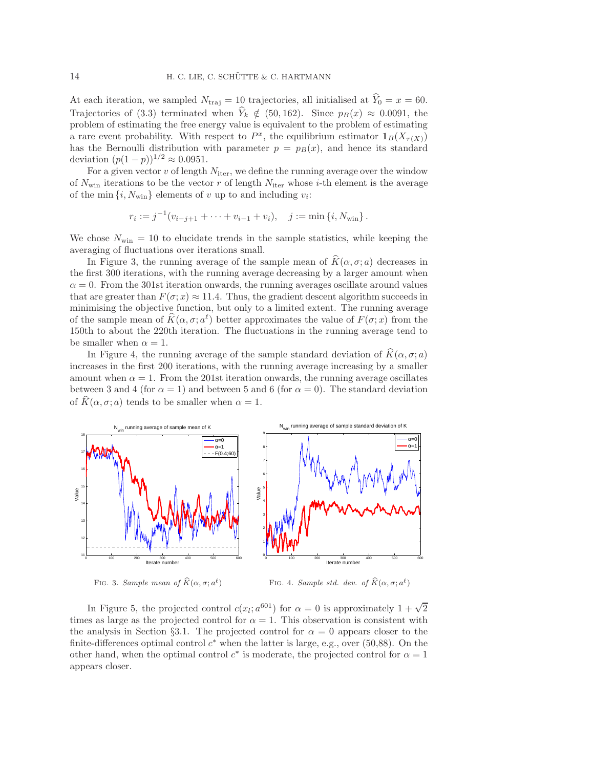At each iteration, we sampled  $N_{\text{traj}} = 10$  trajectories, all initialised at  $\hat{Y}_0 = x = 60$ . Trajectories of [\(3.3\)](#page-8-1) terminated when  $\hat{Y}_k \notin (50, 162)$ . Since  $p_B(x) \approx 0.0091$ , the problem of estimating the free energy value is equivalent to the problem of estimating a rare event probability. With respect to  $P^x$ , the equilibrium estimator  $\mathbf{1}_B(X_{\tau(X)})$ has the Bernoulli distribution with parameter  $p = p_B(x)$ , and hence its standard deviation  $(p(1-p))^{1/2} \approx 0.0951$ .

For a given vector  $v$  of length  $N_{\text{iter}}$ , we define the running average over the window of  $N_{\text{win}}$  iterations to be the vector r of length  $N_{\text{iter}}$  whose *i*-th element is the average of the min  $\{i, N_{\text{win}}\}$  elements of v up to and including  $v_i$ :

$$
r_i := j^{-1}(v_{i-j+1} + \cdots + v_{i-1} + v_i), \quad j := \min\{i, N_{\min}\}.
$$

We chose  $N_{\text{win}} = 10$  to elucidate trends in the sample statistics, while keeping the averaging of fluctuations over iterations small.

In Figure [3,](#page-13-0) the running average of the sample mean of  $\widehat{K}(\alpha, \sigma; a)$  decreases in the first 300 iterations, with the running average decreasing by a larger amount when  $\alpha = 0$ . From the 301st iteration onwards, the running averages oscillate around values that are greater than  $F(\sigma; x) \approx 11.4$ . Thus, the gradient descent algorithm succeeds in minimising the objective function, but only to a limited extent. The running average of the sample mean of  $K(\alpha, \sigma; a^{\ell})$  better approximates the value of  $F(\sigma; x)$  from the 150th to about the 220th iteration. The fluctuations in the running average tend to be smaller when  $\alpha = 1$ .

In Figure [4,](#page-13-1) the running average of the sample standard deviation of  $\widehat{K}(\alpha, \sigma; a)$ increases in the first 200 iterations, with the running average increasing by a smaller amount when  $\alpha = 1$ . From the 201st iteration onwards, the running average oscillates between 3 and 4 (for  $\alpha = 1$ ) and between 5 and 6 (for  $\alpha = 0$ ). The standard deviation of  $K(\alpha, \sigma; a)$  tends to be smaller when  $\alpha = 1$ .



<span id="page-13-0"></span>FIG. 3. Sample mean of  $\widehat{K}(\alpha, \sigma; a^{\ell})$ 

<span id="page-13-1"></span>FIG. 4. Sample std. dev. of  $\widehat{K}(\alpha, \sigma; a^{\ell})$ 

In Figure [5,](#page-14-0) the projected control  $c(x_i; a^{601})$  for  $\alpha = 0$  is approximately  $1 + \sqrt{2}$ times as large as the projected control for  $\alpha = 1$ . This observation is consistent with the analysis in Section §[3.1.](#page-9-0) The projected control for  $\alpha = 0$  appears closer to the finite-differences optimal control  $c^*$  when the latter is large, e.g., over (50,88). On the other hand, when the optimal control  $c^*$  is moderate, the projected control for  $\alpha = 1$ appears closer.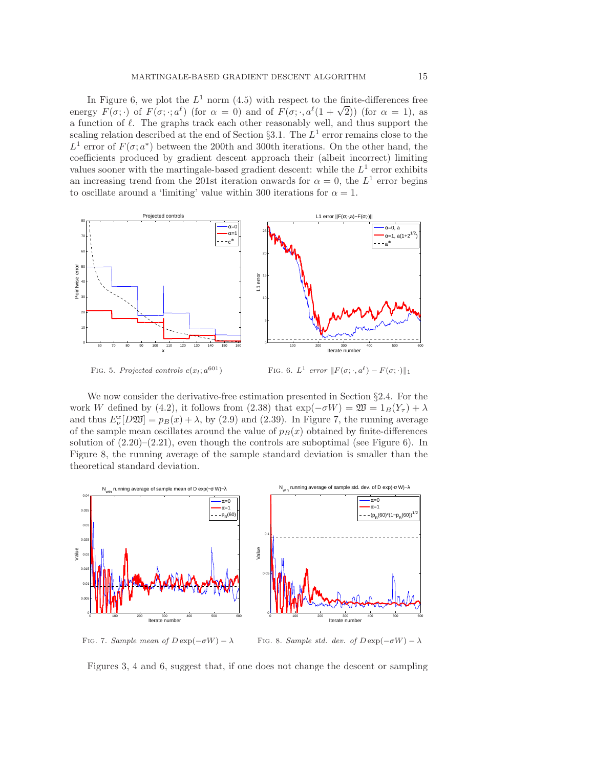In Figure [6,](#page-14-1) we plot the  $L^1$  norm [\(4.5\)](#page-12-3) with respect to the finite-differences free energy  $F(\sigma; \cdot)$  of  $F(\sigma; \cdot; a^{\ell})$  (for  $\alpha = 0$ ) and of  $F(\sigma; \cdot, a^{\ell}(1 + \sqrt{2}))$  (for  $\alpha = 1$ ), as a function of  $\ell$ . The graphs track each other reasonably well, and thus support the scaling relation described at the end of Section §[3.1.](#page-9-0) The  $L^1$  error remains close to the  $L^1$  error of  $F(\sigma; a^*)$  between the 200th and 300th iterations. On the other hand, the coefficients produced by gradient descent approach their (albeit incorrect) limiting values sooner with the martingale-based gradient descent: while the  $L^1$  error exhibits an increasing trend from the 201st iteration onwards for  $\alpha = 0$ , the  $L^1$  error begins to oscillate around a 'limiting' value within 300 iterations for  $\alpha = 1$ .



<span id="page-14-0"></span>FIG. 5. Projected controls  $c(x_l; a^{601})$ 

<span id="page-14-1"></span>FIG. 6.  $L^1$  error  $||F(\sigma; \cdot, a^{\ell}) - F(\sigma; \cdot)||_1$ 

We now consider the derivative-free estimation presented in Section §[2.4.](#page-7-0) For the work W defined by [\(4.2\)](#page-11-2), it follows from [\(2.38\)](#page-7-1) that  $\exp(-\sigma W) = \mathfrak{W} = 1_B(Y_\tau) + \lambda$ and thus  $E_{\nu}^{x}[D\mathfrak{W}] = p_{B}(x) + \lambda$ , by [\(2.9\)](#page-3-1) and [\(2.39\)](#page-7-2). In Figure [7,](#page-14-2) the running average of the sample mean oscillates around the value of  $p_B(x)$  obtained by finite-differences solution of  $(2.20)$ – $(2.21)$ , even though the controls are suboptimal (see Figure [6\)](#page-14-1). In Figure [8,](#page-14-3) the running average of the sample standard deviation is smaller than the theoretical standard deviation.



FIG. 7. Sample mean of  $D \exp(-\sigma W) - \lambda$ 

<span id="page-14-3"></span>FIG. 8. Sample std. dev. of  $D \exp(-\sigma W) - \lambda$ 

<span id="page-14-2"></span>Figures [3,](#page-13-0) [4](#page-13-1) and [6,](#page-14-1) suggest that, if one does not change the descent or sampling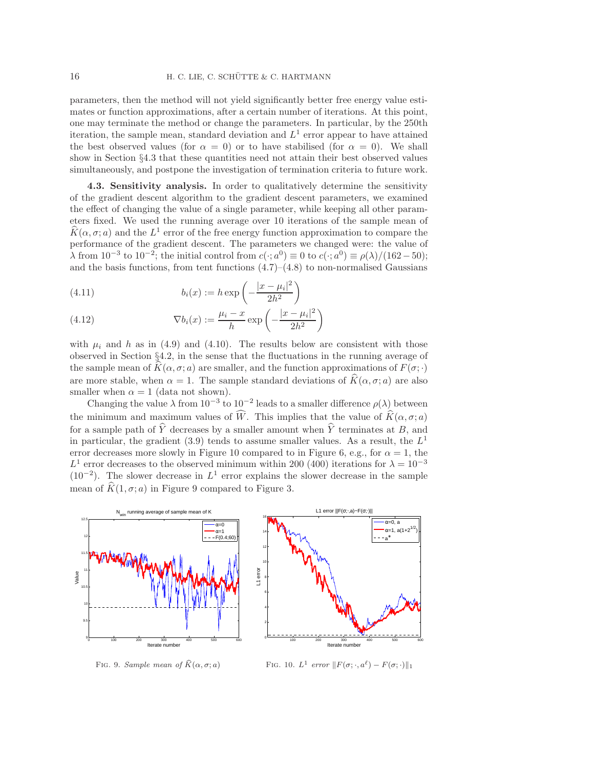parameters, then the method will not yield significantly better free energy value estimates or function approximations, after a certain number of iterations. At this point, one may terminate the method or change the parameters. In particular, by the 250th iteration, the sample mean, standard deviation and  $L<sup>1</sup>$  error appear to have attained the best observed values (for  $\alpha = 0$ ) or to have stabilised (for  $\alpha = 0$ ). We shall show in Section §[4.3](#page-15-0) that these quantities need not attain their best observed values simultaneously, and postpone the investigation of termination criteria to future work.

<span id="page-15-0"></span>4.3. Sensitivity analysis. In order to qualitatively determine the sensitivity of the gradient descent algorithm to the gradient descent parameters, we examined the effect of changing the value of a single parameter, while keeping all other parameters fixed. We used the running average over 10 iterations of the sample mean of  $K(\alpha, \sigma; a)$  and the  $L^1$  error of the free energy function approximation to compare the performance of the gradient descent. The parameters we changed were: the value of  $\lambda$  from 10<sup>-3</sup> to 10<sup>-2</sup>; the initial control from  $c(\cdot; a^0) \equiv 0$  to  $c(\cdot; a^0) \equiv \rho(\lambda)/(162-50)$ ; and the basis functions, from tent functions  $(4.7)$ – $(4.8)$  to non-normalised Gaussians

(4.11) 
$$
b_i(x) := h \exp\left(-\frac{|x - \mu_i|^2}{2h^2}\right)
$$

<span id="page-15-3"></span>(4.12) 
$$
\nabla b_i(x) := \frac{\mu_i - x}{h} \exp\left(-\frac{|x - \mu_i|^2}{2h^2}\right)
$$

with  $\mu_i$  and h as in [\(4.9\)](#page-12-6) and [\(4.10\)](#page-12-7). The results below are consistent with those observed in Section §[4.2,](#page-12-0) in the sense that the fluctuations in the running average of the sample mean of  $K(\alpha, \sigma; a)$  are smaller, and the function approximations of  $F(\sigma; \cdot)$ are more stable, when  $\alpha = 1$ . The sample standard deviations of  $\widehat{K}(\alpha, \sigma; a)$  are also smaller when  $\alpha = 1$  (data not shown).

Changing the value  $\lambda$  from  $10^{-3}$  to  $10^{-2}$  leads to a smaller difference  $\rho(\lambda)$  between the minimum and maximum values of  $\widehat{W}$ . This implies that the value of  $\widehat{K}(\alpha, \sigma; a)$ for a sample path of  $\widehat{Y}$  decreases by a smaller amount when  $\widehat{Y}$  terminates at B, and in particular, the gradient [\(3.9\)](#page-9-1) tends to assume smaller values. As a result, the  $L^1$ error decreases more slowly in Figure [10](#page-15-1) compared to in Figure [6,](#page-14-1) e.g., for  $\alpha = 1$ , the L<sup>1</sup> error decreases to the observed minimum within 200 (400) iterations for  $\lambda = 10^{-3}$  $(10^{-2})$ . The slower decrease in  $L^1$  error explains the slower decrease in the sample mean of  $\widehat{K}(1, \sigma; a)$  in Figure [9](#page-15-2) compared to Figure [3.](#page-13-0)



<span id="page-15-2"></span>FIG. 9. Sample mean of  $\widehat{K}(\alpha, \sigma; a)$ 

<span id="page-15-1"></span>FIG. 10.  $L^1$  error  $||F(\sigma; \cdot, a^{\ell}) - F(\sigma; \cdot)||_1$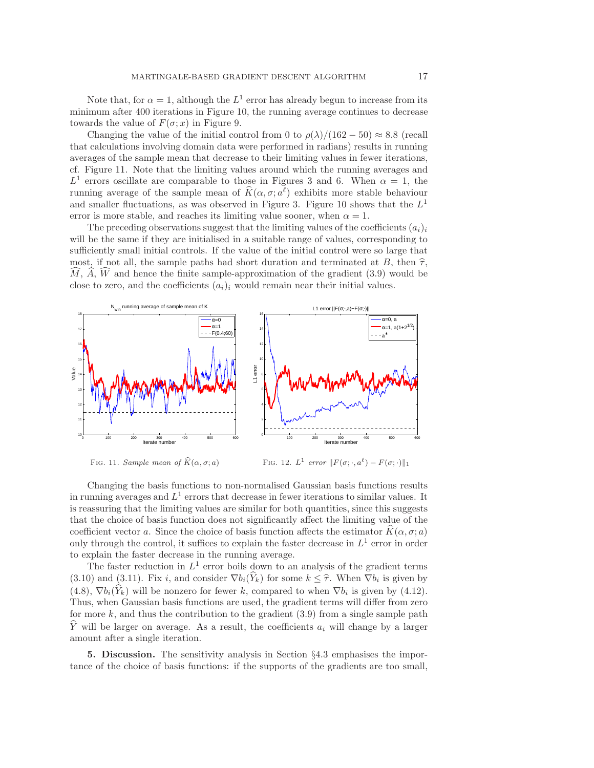Note that, for  $\alpha = 1$ , although the  $L^1$  error has already begun to increase from its minimum after 400 iterations in Figure [10,](#page-15-1) the running average continues to decrease towards the value of  $F(\sigma; x)$  in Figure [9.](#page-15-2)

Changing the value of the initial control from 0 to  $\rho(\lambda)/(162-50) \approx 8.8$  (recall that calculations involving domain data were performed in radians) results in running averages of the sample mean that decrease to their limiting values in fewer iterations, cf. Figure [11.](#page-16-1) Note that the limiting values around which the running averages and  $L^1$  errors oscillate are comparable to those in Figures [3](#page-13-0) and [6.](#page-14-1) When  $\alpha = 1$ , the running average of the sample mean of  $\hat{K}(\alpha, \sigma; a^{\ell})$  exhibits more stable behaviour and smaller fluctuations, as was observed in Figure [3.](#page-13-0) Figure [10](#page-15-1) shows that the  $L^1$ error is more stable, and reaches its limiting value sooner, when  $\alpha = 1$ .

The preceding observations suggest that the limiting values of the coefficients  $(a_i)_i$ will be the same if they are initialised in a suitable range of values, corresponding to sufficiently small initial controls. If the value of the initial control were so large that most, if not all, the sample paths had short duration and terminated at B, then  $\hat{\tau}$ ,  $M, A, W$  and hence the finite sample-approximation of the gradient [\(3.9\)](#page-9-1) would be close to zero, and the coefficients  $(a_i)_i$  would remain near their initial values.



<span id="page-16-1"></span>FIG. 11. Sample mean of  $\widehat{K}(\alpha, \sigma; a)$ 

FIG. 12.  $L^1$  error  $||F(\sigma; \cdot, a^{\ell}) - F(\sigma; \cdot)||_1$ 

Changing the basis functions to non-normalised Gaussian basis functions results in running averages and  $L^1$  errors that decrease in fewer iterations to similar values. It is reassuring that the limiting values are similar for both quantities, since this suggests that the choice of basis function does not significantly affect the limiting value of the coefficient vector a. Since the choice of basis function affects the estimator  $K(\alpha, \sigma; a)$ only through the control, it suffices to explain the faster decrease in  $L^1$  error in order to explain the faster decrease in the running average.

The faster reduction in  $L^1$  error boils down to an analysis of the gradient terms [\(3.10\)](#page-9-2) and [\(3.11\)](#page-9-3). Fix i, and consider  $\nabla b_i(Y_k)$  for some  $k \leq \hat{\tau}$ . When  $\nabla b_i$  is given by  $(4.8)$ ,  $\nabla b_i(Y_k)$  will be nonzero for fewer k, compared to when  $\nabla b_i$  is given by [\(4.12\)](#page-15-3). Thus, when Gaussian basis functions are used, the gradient terms will differ from zero for more  $k$ , and thus the contribution to the gradient  $(3.9)$  from a single sample path Y will be larger on average. As a result, the coefficients  $a_i$  will change by a larger amount after a single iteration.

<span id="page-16-0"></span>5. Discussion. The sensitivity analysis in Section §[4.3](#page-15-0) emphasises the importance of the choice of basis functions: if the supports of the gradients are too small,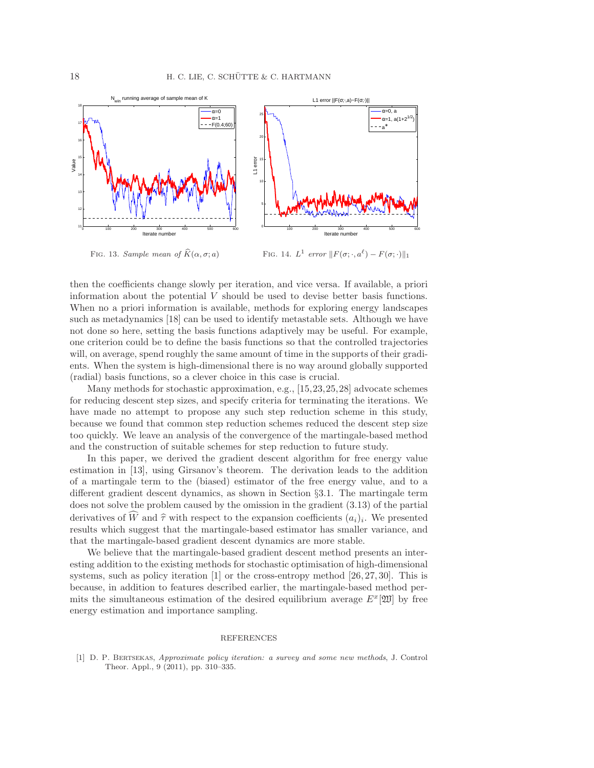

FIG. 13. Sample mean of  $\widehat{K}(\alpha, \sigma; a)$ 

FIG. 14.  $L^1$  error  $||F(\sigma; \cdot, a^{\ell}) - F(\sigma; \cdot)||_1$ 

then the coefficients change slowly per iteration, and vice versa. If available, a priori information about the potential  $V$  should be used to devise better basis functions. When no a priori information is available, methods for exploring energy landscapes such as metadynamics [\[18\]](#page-18-21) can be used to identify metastable sets. Although we have not done so here, setting the basis functions adaptively may be useful. For example, one criterion could be to define the basis functions so that the controlled trajectories will, on average, spend roughly the same amount of time in the supports of their gradients. When the system is high-dimensional there is no way around globally supported (radial) basis functions, so a clever choice in this case is crucial.

Many methods for stochastic approximation, e.g., [\[15,](#page-18-22)[23,](#page-18-23)[25,](#page-18-24)[28\]](#page-18-25) advocate schemes for reducing descent step sizes, and specify criteria for terminating the iterations. We have made no attempt to propose any such step reduction scheme in this study, because we found that common step reduction schemes reduced the descent step size too quickly. We leave an analysis of the convergence of the martingale-based method and the construction of suitable schemes for step reduction to future study.

In this paper, we derived the gradient descent algorithm for free energy value estimation in [\[13\]](#page-18-5), using Girsanov's theorem. The derivation leads to the addition of a martingale term to the (biased) estimator of the free energy value, and to a different gradient descent dynamics, as shown in Section §[3.1.](#page-9-0) The martingale term does not solve the problem caused by the omission in the gradient [\(3.13\)](#page-9-5) of the partial derivatives of W and  $\hat{\tau}$  with respect to the expansion coefficients  $(a_i)_i$ . We presented results which suggest that the martingale-based estimator has smaller variance, and that the martingale-based gradient descent dynamics are more stable.

We believe that the martingale-based gradient descent method presents an interesting addition to the existing methods for stochastic optimisation of high-dimensional systems, such as policy iteration [\[1\]](#page-17-0) or the cross-entropy method [\[26,](#page-18-26) [27,](#page-18-27) [30\]](#page-18-28). This is because, in addition to features described earlier, the martingale-based method permits the simultaneous estimation of the desired equilibrium average  $E^x[\mathfrak{W}]$  by free energy estimation and importance sampling.

## REFERENCES

<span id="page-17-0"></span>[1] D. P. Bertsekas, Approximate policy iteration: a survey and some new methods, J. Control Theor. Appl., 9 (2011), pp. 310–335.